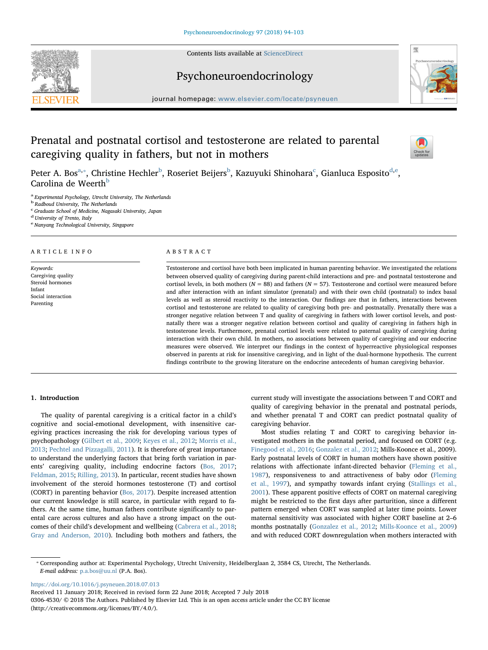Contents lists available at [ScienceDirect](http://www.sciencedirect.com/science/journal/03064530)





Psychoneuroendocrinology

journal homepage: [www.elsevier.com/locate/psyneuen](https://www.elsevier.com/locate/psyneuen)

# Prenatal and postnatal cortisol and testosterone are related to parental caregiving quality in fathers, but not in mothers



P[e](#page-0-5)ter A. Bos $^{a,*}$  $^{a,*}$  $^{a,*}$ , Christine He[c](#page-0-3)hler $^{\rm b}$  $^{\rm b}$  $^{\rm b}$ , Roseriet Beijers $^{\rm b}$ , Kazuyuki Shinohara $^{\rm c}$ , Gianluca Esposito $^{\rm d,e}$  $^{\rm d,e}$  $^{\rm d,e}$ , Carolina de Weerth<sup>[b](#page-0-2)</sup>

<span id="page-0-0"></span><sup>a</sup> Experimental Psychology, Utrecht University, The Netherlands

<span id="page-0-2"></span><sup>b</sup> Radboud University, The Netherlands

<span id="page-0-3"></span>c Graduate School of Medicine, Nagasaki University, Japan

<span id="page-0-4"></span><sup>d</sup> University of Trento, Italy

<span id="page-0-5"></span><sup>e</sup> Nanyang Technological University, Singapore

# ARTICLE INFO

Keywords: Caregiving quality Steroid hormones Infant Social interaction Parenting

# ABSTRACT

Testosterone and cortisol have both been implicated in human parenting behavior. We investigated the relations between observed quality of caregiving during parent-child interactions and pre- and postnatal testosterone and cortisol levels, in both mothers ( $N = 88$ ) and fathers ( $N = 57$ ). Testosterone and cortisol were measured before and after interaction with an infant simulator (prenatal) and with their own child (postnatal) to index basal levels as well as steroid reactivity to the interaction. Our findings are that in fathers, interactions between cortisol and testosterone are related to quality of caregiving both pre- and postnatally. Prenatally there was a stronger negative relation between T and quality of caregiving in fathers with lower cortisol levels, and postnatally there was a stronger negative relation between cortisol and quality of caregiving in fathers high in testosterone levels. Furthermore, prenatal cortisol levels were related to paternal quality of caregiving during interaction with their own child. In mothers, no associations between quality of caregiving and our endocrine measures were observed. We interpret our findings in the context of hyperreactive physiological responses observed in parents at risk for insensitive caregiving, and in light of the dual-hormone hypothesis. The current findings contribute to the growing literature on the endocrine antecedents of human caregiving behavior.

# 1. Introduction

The quality of parental caregiving is a critical factor in a child's cognitive and social-emotional development, with insensitive caregiving practices increasing the risk for developing various types of psychopathology ([Gilbert et al., 2009](#page-9-0); [Keyes et al., 2012](#page-9-1); [Morris et al.,](#page-9-2) [2013;](#page-9-2) [Pechtel and Pizzagalli, 2011\)](#page-9-3). It is therefore of great importance to understand the underlying factors that bring forth variation in parents' caregiving quality, including endocrine factors ([Bos, 2017](#page-8-0); [Feldman, 2015](#page-9-4); [Rilling, 2013\)](#page-9-5). In particular, recent studies have shown involvement of the steroid hormones testosterone (T) and cortisol (CORT) in parenting behavior [\(Bos, 2017](#page-8-0)). Despite increased attention our current knowledge is still scarce, in particular with regard to fathers. At the same time, human fathers contribute significantly to parental care across cultures and also have a strong impact on the outcomes of their child's development and wellbeing ([Cabrera et al., 2018](#page-8-1); [Gray and Anderson, 2010](#page-9-6)). Including both mothers and fathers, the

current study will investigate the associations between T and CORT and quality of caregiving behavior in the prenatal and postnatal periods, and whether prenatal T and CORT can predict postnatal quality of caregiving behavior.

Most studies relating T and CORT to caregiving behavior investigated mothers in the postnatal period, and focused on CORT (e.g. [Finegood et al., 2016](#page-9-7); [Gonzalez et al., 2012](#page-9-8); Mills-Koonce et al., 2009). Early postnatal levels of CORT in human mothers have shown positive relations with affectionate infant-directed behavior ([Fleming et al.,](#page-9-9) [1987\)](#page-9-9), responsiveness to and attractiveness of baby odor [\(Fleming](#page-9-10) [et al., 1997](#page-9-10)), and sympathy towards infant crying ([Stallings et al.,](#page-9-11) [2001\)](#page-9-11). These apparent positive effects of CORT on maternal caregiving might be restricted to the first days after parturition, since a different pattern emerged when CORT was sampled at later time points. Lower maternal sensitivity was associated with higher CORT baseline at 2–6 months postnatally [\(Gonzalez et al., 2012](#page-9-8); [Mills-Koonce et al., 2009\)](#page-9-12) and with reduced CORT downregulation when mothers interacted with

<span id="page-0-1"></span>⁎ Corresponding author at: Experimental Psychology, Utrecht University, Heidelberglaan 2, 3584 CS, Utrecht, The Netherlands. E-mail address: [p.a.bos@uu.nl](mailto:p.a.bos@uu.nl) (P.A. Bos).

<https://doi.org/10.1016/j.psyneuen.2018.07.013>

Received 11 January 2018; Received in revised form 22 June 2018; Accepted 7 July 2018

0306-4530/ © 2018 The Authors. Published by Elsevier Ltd. This is an open access article under the CC BY license (http://creativecommons.org/licenses/BY/4.0/).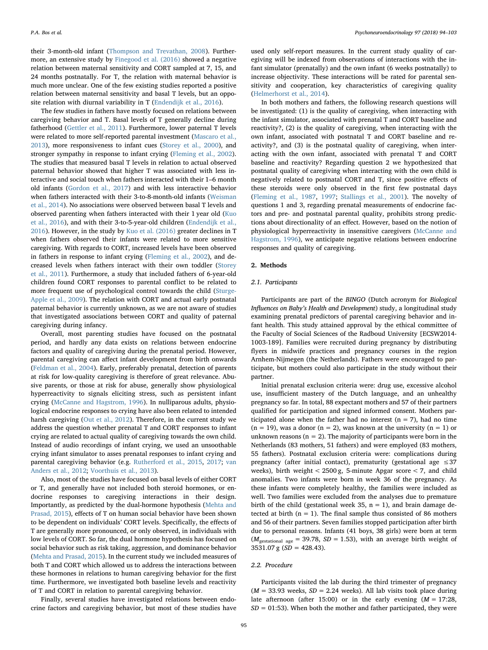their 3-month-old infant [\(Thompson and Trevathan, 2008\)](#page-9-13). Furthermore, an extensive study by [Finegood et al. \(2016\)](#page-9-7) showed a negative relation between maternal sensitivity and CORT sampled at 7, 15, and 24 months postnatally. For T, the relation with maternal behavior is much more unclear. One of the few existing studies reported a positive relation between maternal sensitivity and basal T levels, but an opposite relation with diurnal variability in T [\(Endendijk et al., 2016](#page-9-14)).

The few studies in fathers have mostly focused on relations between caregiving behavior and T. Basal levels of T generally decline during fatherhood ([Gettler et al., 2011\)](#page-9-15). Furthermore, lower paternal T levels were related to more self-reported parental investment ([Mascaro et al.,](#page-9-16) [2013\)](#page-9-16), more responsiveness to infant cues [\(Storey et al., 2000\)](#page-9-17), and stronger sympathy in response to infant crying [\(Fleming et al., 2002](#page-9-18)). The studies that measured basal T levels in relation to actual observed paternal behavior showed that higher T was associated with less interactive and social touch when fathers interacted with their 1–6 month old infants [\(Gordon et al., 2017](#page-9-19)) and with less interactive behavior when fathers interacted with their 3-to-8-month-old infants [\(Weisman](#page-9-20) [et al., 2014](#page-9-20)). No associations were observed between basal T levels and observed parenting when fathers interacted with their 1 year old ([Kuo](#page-9-21) [et al., 2016](#page-9-21)), and with their 3-to-5-year-old children [\(Endendijk et al.,](#page-9-14) [2016\)](#page-9-14). However, in the study by [Kuo et al. \(2016\)](#page-9-21) greater declines in T when fathers observed their infants were related to more sensitive caregiving. With regards to CORT, increased levels have been observed in fathers in response to infant crying [\(Fleming et al., 2002](#page-9-18)), and decreased levels when fathers interact with their own toddler [\(Storey](#page-9-22) [et al., 2011\)](#page-9-22). Furthermore, a study that included fathers of 6-year-old children found CORT responses to parental conflict to be related to more frequent use of psychological control towards the child ([Sturge-](#page-9-23)[Apple et al., 2009](#page-9-23)). The relation with CORT and actual early postnatal paternal behavior is currently unknown, as we are not aware of studies that investigated associations between CORT and quality of paternal caregiving during infancy.

Overall, most parenting studies have focused on the postnatal period, and hardly any data exists on relations between endocrine factors and quality of caregiving during the prenatal period. However, parental caregiving can affect infant development from birth onwards ([Feldman et al., 2004](#page-9-24)). Early, preferably prenatal, detection of parents at risk for low-quality caregiving is therefore of great relevance. Abusive parents, or those at risk for abuse, generally show physiological hyperreactivity to signals eliciting stress, such as persistent infant crying ([McCanne and Hagstrom, 1996](#page-9-25)). In nulliparous adults, physiological endocrine responses to crying have also been related to intended harsh caregiving [\(Out et al., 2012](#page-9-26)). Therefore, in the current study we address the question whether prenatal T and CORT responses to infant crying are related to actual quality of caregiving towards the own child. Instead of audio recordings of infant crying, we used an unsoothable crying infant simulator to asses prenatal responses to infant crying and parental caregiving behavior (e.g. [Rutherford et al., 2015,](#page-9-27) [2017](#page-9-28); [van](#page-9-29) [Anders et al., 2012;](#page-9-29) [Voorthuis et al., 2013](#page-9-30)).

Also, most of the studies have focused on basal levels of either CORT or T, and generally have not included both steroid hormones, or endocrine responses to caregiving interactions in their design. Importantly, as predicted by the dual-hormone hypothesis ([Mehta and](#page-9-31) [Prasad, 2015\)](#page-9-31), effects of T on human social behavior have been shown to be dependent on individuals' CORT levels. Specifically, the effects of T are generally more pronounced, or only observed, in individuals with low levels of CORT. So far, the dual hormone hypothesis has focused on social behavior such as risk taking, aggression, and dominance behavior ([Mehta and Prasad, 2015](#page-9-31)). In the current study we included measures of both T and CORT which allowed us to address the interactions between these hormones in relations to human caregiving behavior for the first time. Furthermore, we investigated both baseline levels and reactivity of T and CORT in relation to parental caregiving behavior.

Finally, several studies have investigated relations between endocrine factors and caregiving behavior, but most of these studies have

used only self-report measures. In the current study quality of caregiving will be indexed from observations of interactions with the infant simulator (prenatally) and the own infant (6 weeks postnatally) to increase objectivity. These interactions will be rated for parental sensitivity and cooperation, key characteristics of caregiving quality ([Helmerhorst et al., 2014\)](#page-9-32).

In both mothers and fathers, the following research questions will be investigated: (1) is the quality of caregiving, when interacting with the infant simulator, associated with prenatal T and CORT baseline and reactivity?, (2) is the quality of caregiving, when interacting with the own infant, associated with postnatal T and CORT baseline and reactivity?, and (3) is the postnatal quality of caregiving, when interacting with the own infant, associated with prenatal T and CORT baseline and reactivity? Regarding question 2 we hypothesized that postnatal quality of caregiving when interacting with the own child is negatively related to postnatal CORT and T, since positive effects of these steroids were only observed in the first few postnatal days ([Fleming et al., 1987,](#page-9-9) [1997;](#page-9-10) [Stallings et al., 2001\)](#page-9-11). The novelty of questions 1 and 3, regarding prenatal measurements of endocrine factors and pre- and postnatal parental quality, prohibits strong predictions about directionality of an effect. However, based on the notion of physiological hyperreactivity in insensitive caregivers [\(McCanne and](#page-9-25) [Hagstrom, 1996](#page-9-25)), we anticipate negative relations between endocrine responses and quality of caregiving.

#### 2. Methods

#### 2.1. Participants

Participants are part of the BINGO (Dutch acronym for Biological Influences on Baby's Health and Development) study, a longitudinal study examining prenatal predictors of parental caregiving behavior and infant health. This study attained approval by the ethical committee of the Faculty of Social Sciences of the Radboud University [ECSW2014- 1003-189]. Families were recruited during pregnancy by distributing flyers in midwife practices and pregnancy courses in the region Arnhem-Nijmegen (the Netherlands). Fathers were encouraged to participate, but mothers could also participate in the study without their partner.

Initial prenatal exclusion criteria were: drug use, excessive alcohol use, insufficient mastery of the Dutch language, and an unhealthy pregnancy so far. In total, 88 expectant mothers and 57 of their partners qualified for participation and signed informed consent. Mothers participated alone when the father had no interest ( $n = 7$ ), had no time  $(n = 19)$ , was a donor  $(n = 2)$ , was known at the university  $(n = 1)$  or unknown reasons ( $n = 2$ ). The majority of participants were born in the Netherlands (83 mothers, 51 fathers) and were employed (83 mothers, 55 fathers). Postnatal exclusion criteria were: complications during pregnancy (after initial contact), prematurity (gestational age  $\leq 37$ weeks), birth weight < 2500 g, 5-minute Apgar score < 7, and child anomalies. Two infants were born in week 36 of the pregnancy. As these infants were completely healthy, the families were included as well. Two families were excluded from the analyses due to premature birth of the child (gestational week 35,  $n = 1$ ), and brain damage detected at birth  $(n = 1)$ . The final sample thus consisted of 86 mothers and 56 of their partners. Seven families stopped participation after birth due to personal reasons. Infants (41 boys, 38 girls) were born at term  $(M<sub>gestational age</sub> = 39.78, SD = 1.53)$ , with an average birth weight of 3531.07 g  $(SD = 428.43)$ .

#### 2.2. Procedure

Participants visited the lab during the third trimester of pregnancy  $(M = 33.93$  weeks,  $SD = 2.24$  weeks). All lab visits took place during late afternoon (after 15:00) or in the early evening  $(M = 17:28,$  $SD = 01:53$ ). When both the mother and father participated, they were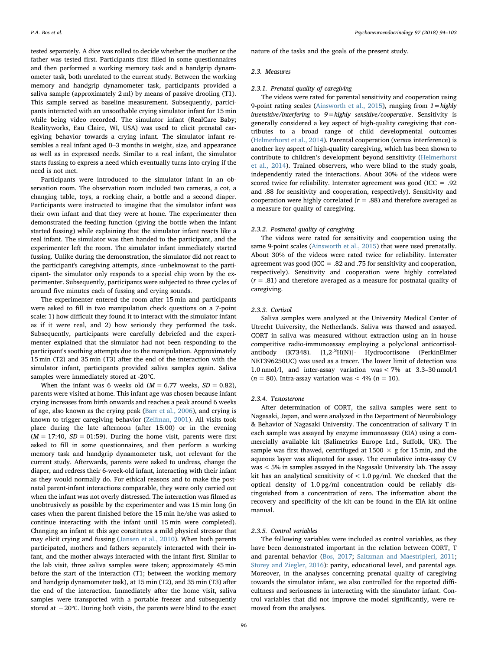tested separately. A dice was rolled to decide whether the mother or the father was tested first. Participants first filled in some questionnaires and then performed a working memory task and a handgrip dynamometer task, both unrelated to the current study. Between the working memory and handgrip dynamometer task, participants provided a saliva sample (approximately 2 ml) by means of passive drooling (T1). This sample served as baseline measurement. Subsequently, participants interacted with an unsoothable crying simulator infant for 15 min while being video recorded. The simulator infant (RealCare Baby; Realityworks, Eau Claire, WI, USA) was used to elicit prenatal caregiving behavior towards a crying infant. The simulator infant resembles a real infant aged 0–3 months in weight, size, and appearance as well as in expressed needs. Similar to a real infant, the simulator starts fussing to express a need which eventually turns into crying if the need is not met.

Participants were introduced to the simulator infant in an observation room. The observation room included two cameras, a cot, a changing table, toys, a rocking chair, a bottle and a second diaper. Participants were instructed to imagine that the simulator infant was their own infant and that they were at home. The experimenter then demonstrated the feeding function (giving the bottle when the infant started fussing) while explaining that the simulator infant reacts like a real infant. The simulator was then handed to the participant, and the experimenter left the room. The simulator infant immediately started fussing. Unlike during the demonstration, the simulator did not react to the participant's caregiving attempts, since -unbeknownst to the participant- the simulator only responds to a special chip worn by the experimenter. Subsequently, participants were subjected to three cycles of around five minutes each of fussing and crying sounds.

The experimenter entered the room after 15 min and participants were asked to fill in two manipulation check questions on a 7-point scale: 1) how difficult they found it to interact with the simulator infant as if it were real, and 2) how seriously they performed the task. Subsequently, participants were carefully debriefed and the experimenter explained that the simulator had not been responding to the participant's soothing attempts due to the manipulation. Approximately 15 min (T2) and 35 min (T3) after the end of the interaction with the simulator infant, participants provided saliva samples again. Saliva samples were immediately stored at -20℃.

When the infant was 6 weeks old ( $M = 6.77$  weeks,  $SD = 0.82$ ), parents were visited at home. This infant age was chosen because infant crying increases from birth onwards and reaches a peak around 6 weeks of age, also known as the crying peak [\(Barr et al., 2006](#page-8-2)), and crying is known to trigger caregiving behavior [\(Zeifman, 2001](#page-9-33)). All visits took place during the late afternoon (after 15:00) or in the evening  $(M = 17:40, SD = 01:59)$ . During the home visit, parents were first asked to fill in some questionnaires, and then perform a working memory task and handgrip dynamometer task, not relevant for the current study. Afterwards, parents were asked to undress, change the diaper, and redress their 6-week-old infant, interacting with their infant as they would normally do. For ethical reasons and to make the postnatal parent-infant interactions comparable, they were only carried out when the infant was not overly distressed. The interaction was filmed as unobtrusively as possible by the experimenter and was 15 min long (in cases when the parent finished before the 15 min he/she was asked to continue interacting with the infant until 15 min were completed). Changing an infant at this age constitutes a mild physical stressor that may elicit crying and fussing ([Jansen et al., 2010](#page-9-34)). When both parents participated, mothers and fathers separately interacted with their infant, and the mother always interacted with the infant first. Similar to the lab visit, three saliva samples were taken; approximately 45 min before the start of the interaction (T1; between the working memory and handgrip dynamometer task), at 15 min (T2), and 35 min (T3) after the end of the interaction. Immediately after the home visit, saliva samples were transported with a portable freezer and subsequently stored at −20℃. During both visits, the parents were blind to the exact nature of the tasks and the goals of the present study.

#### 2.3. Measures

# 2.3.1. Prenatal quality of caregiving

The videos were rated for parental sensitivity and cooperation using 9-point rating scales ([Ainsworth et al., 2015\)](#page-8-3), ranging from  $1 =$ highly insensitive/interfering to  $9 =$  highly sensitive/cooperative. Sensitivity is generally considered a key aspect of high-quality caregiving that contributes to a broad range of child developmental outcomes ([Helmerhorst et al., 2014](#page-9-32)). Parental cooperation (versus interference) is another key aspect of high-quality caregiving, which has been shown to contribute to children's development beyond sensitivity ([Helmerhorst](#page-9-32) [et al., 2014](#page-9-32)). Trained observers, who were blind to the study goals, independently rated the interactions. About 30% of the videos were scored twice for reliability. Interrater agreement was good (ICC = .92 and .88 for sensitivity and cooperation, respectively). Sensitivity and cooperation were highly correlated ( $r = .88$ ) and therefore averaged as a measure for quality of caregiving.

# 2.3.2. Postnatal quality of caregiving

The videos were rated for sensitivity and cooperation using the same 9-point scales ([Ainsworth et al., 2015\)](#page-8-3) that were used prenatally. About 30% of the videos were rated twice for reliability. Interrater agreement was good (ICC = .82 and .75 for sensitivity and cooperation, respectively). Sensitivity and cooperation were highly correlated  $(r = .81)$  and therefore averaged as a measure for postnatal quality of caregiving.

## 2.3.3. Cortisol

Saliva samples were analyzed at the University Medical Center of Utrecht University, the Netherlands. Saliva was thawed and assayed. CORT in saliva was measured without extraction using an in house competitive radio-immunoassay employing a polyclonal anticortisolantibody (K7348). [1,2-<sup>3</sup>H(N)]- Hydrocortisone (PerkinElmer NET396250UC) was used as a tracer. The lower limit of detection was 1.0 nmol/l, and inter-assay variation was < 7% at 3.3–30 nmol/l  $(n = 80)$ . Intra-assay variation was < 4%  $(n = 10)$ .

#### 2.3.4. Testosterone

After determination of CORT, the saliva samples were sent to Nagasaki, Japan, and were analyzed in the Department of Neurobiology & Behavior of Nagasaki University. The concentration of salivary T in each sample was assayed by enzyme immunoassay (EIA) using a commercially available kit (Salimetrics Europe Ltd., Suffolk, UK). The sample was first thawed, centrifuged at  $1500 \times g$  for  $15$  min, and the aqueous layer was aliquoted for assay. The cumulative intra-assay CV was < 5% in samples assayed in the Nagasaki University lab. The assay kit has an analytical sensitivity of  $< 1.0$  pg/ml. We checked that the optical density of 1.0 pg/ml concentration could be reliably distinguished from a concentration of zero. The information about the recovery and specificity of the kit can be found in the EIA kit online manual.

# 2.3.5. Control variables

The following variables were included as control variables, as they have been demonstrated important in the relation between CORT, T and parental behavior ([Bos, 2017](#page-8-0); [Saltzman and Maestripieri, 2011](#page-9-35); [Storey and Ziegler, 2016](#page-9-36)): parity, educational level, and parental age. Moreover, in the analyses concerning prenatal quality of caregiving towards the simulator infant, we also controlled for the reported difficultness and seriousness in interacting with the simulator infant. Control variables that did not improve the model significantly, were removed from the analyses.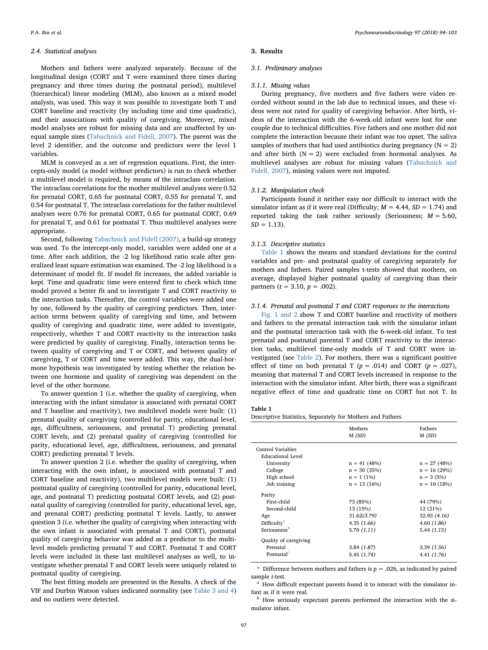## 2.4. Statistical analyses

Mothers and fathers were analyzed separately. Because of the longitudinal design (CORT and T were examined three times during pregnancy and three times during the postnatal period), multilevel (hierarchical) linear modeling (MLM), also known as a mixed model analysis, was used. This way it was possible to investigate both T and CORT baseline and reactivity (by including time and time quadratic), and their associations with quality of caregiving. Moreover, mixed model analyses are robust for missing data and are unaffected by unequal sample sizes [\(Tabachnick and Fidell, 2007](#page-9-37)). The parent was the level 2 identifier, and the outcome and predictors were the level 1 variables.

MLM is conveyed as a set of regression equations. First, the intercepts-only model (a model without predictors) is run to check whether a multilevel model is required, by means of the intraclass correlation. The intraclass correlations for the mother multilevel analyses were 0.52 for prenatal CORT, 0.65 for postnatal CORT, 0.55 for prenatal T, and 0.54 for postnatal T. The intraclass correlations for the father multilevel analyses were 0.76 for prenatal CORT, 0.65 for postnatal CORT, 0.69 for prenatal T, and 0.61 for postnatal T. Thus multilevel analyses were appropriate.

Second, following [Tabachnick and Fidell \(2007\)](#page-9-37), a build-up strategy was used. To the intercept-only model, variables were added one at a time. After each addition, the -2 log likelihood ratio scale after generalized least square estimation was examined. The -2 log likelihood is a determinant of model fit. If model fit increases, the added variable is kept. Time and quadratic time were entered first to check which time model proved a better fit and to investigate T and CORT reactivity to the interaction tasks. Thereafter, the control variables were added one by one, followed by the quality of caregiving predictors. Then, interaction terms between quality of caregiving and time, and between quality of caregiving and quadratic time, were added to investigate, respectively, whether T and CORT reactivity to the interaction tasks were predicted by quality of caregiving. Finally, interaction terms between quality of caregiving and T or CORT, and between quality of caregiving, T or CORT and time were added. This way, the dual-hormone hypothesis was investigated by testing whether the relation between one hormone and quality of caregiving was dependent on the level of the other hormone.

To answer question 1 (i.e. whether the quality of caregiving, when interacting with the infant simulator is associated with prenatal CORT and T baseline and reactivity), two multilevel models were built: (1) prenatal quality of caregiving (controlled for parity, educational level, age, difficultness, seriousness, and prenatal T) predicting prenatal CORT levels, and (2) prenatal quality of caregiving (controlled for parity, educational level, age, difficultness, seriousness, and prenatal CORT) predicting prenatal T levels.

To answer question 2 (i.e. whether the quality of caregiving, when interacting with the own infant, is associated with postnatal T and CORT baseline and reactivity), two multilevel models were built: (1) postnatal quality of caregiving (controlled for parity, educational level, age, and postnatal T) predicting postnatal CORT levels, and (2) postnatal quality of caregiving (controlled for parity, educational level, age, and prenatal CORT) predicting postnatal T levels. Lastly, to answer question 3 (i.e. whether the quality of caregiving when interacting with the own infant is associated with prenatal T and CORT), postnatal quality of caregiving behavior was added as a predictor to the multilevel models predicting prenatal T and CORT. Postnatal T and CORT levels were included in these last multilevel analyses as well, to investigate whether prenatal T and CORT levels were uniquely related to postnatal quality of caregiving.

The best fitting models are presented in the Results. A check of the VIF and Durbin Watson values indicated normality (see [Table 3 and 4\)](#page-5-0) and no outliers were detected.

### 3. Results

#### 3.1. Preliminary analyses

#### 3.1.1. Missing values

During pregnancy, five mothers and five fathers were video recorded without sound in the lab due to technical issues, and these videos were not rated for quality of caregiving behavior. After birth, videos of the interaction with the 6-week-old infant were lost for one couple due to technical difficulties. Five fathers and one mother did not complete the interaction because their infant was too upset. The saliva samples of mothers that had used antibiotics during pregnancy  $(N = 2)$ and after birth  $(N = 2)$  were excluded from hormonal analyses. As multilevel analyses are robust for missing values [\(Tabachnick and](#page-9-37) [Fidell, 2007](#page-9-37)), missing values were not imputed.

# 3.1.2. Manipulation check

Participants found it neither easy nor difficult to interact with the simulator infant as if it were real (Difficulty;  $M = 4.44$ ,  $SD = 1.74$ ) and reported taking the task rather seriously (Seriousness;  $M = 5.60$ ,  $SD = 1.13$ ).

#### 3.1.3. Descriptive statistics

[Table 1](#page-3-0) shows the means and standard deviations for the control variables and pre- and postnatal quality of caregiving separately for mothers and fathers. Paired samples t-tests showed that mothers, on average, displayed higher postnatal quality of caregiving than their partners ( $t = 3.10, p = .002$ ).

# 3.1.4. Prenatal and postnatal T and CORT responses to the interactions

[Fig. 1 and 2](#page-4-0) show T and CORT baseline and reactivity of mothers and fathers to the prenatal interaction task with the simulator infant and the postnatal interaction task with the 6-week-old infant. To test prenatal and postnatal parental T and CORT reactivity to the interaction tasks, multilevel time-only models of T and CORT were investigated (see [Table 2](#page-5-1)). For mothers, there was a significant positive effect of time on both prenatal T ( $p = .014$ ) and CORT ( $p = .027$ ), meaning that maternal T and CORT levels increased in response to the interaction with the simulator infant. After birth, there was a significant negative effect of time and quadratic time on CORT but not T. In

## <span id="page-3-0"></span>Table 1

Descriptive Statistics, Separately for Mothers and Fathers.

|                          | Mothers<br>M(SD) | Fathers<br>M(SD) |
|--------------------------|------------------|------------------|
| Control Variables        |                  |                  |
| Educational Level        |                  |                  |
| University               | $n = 41(48%)$    | $n = 27(48%)$    |
| College                  | $n = 30(35%)$    | $n = 16(29%)$    |
| High school              | $n = 1$ (1%)     | $n = 3(5%)$      |
| Job training             | $n = 13(16%)$    | $n = 10(18%)$    |
| Parity                   |                  |                  |
| First-child              | 73 (85%)         | 44 (79%)         |
| Second-child             | 13 (15%)         | 12 (21%)         |
| Age                      | 31.62(3.79)      | 32.93 (4.16)     |
| Difficulty <sup>a</sup>  | 4.35 (1.66)      | 4.60(1.86)       |
| Seriousness <sup>b</sup> | 5.70(1.11)       | 5.44(1.15)       |
| Quality of caregiving    |                  |                  |
| Prenatal                 | 3.84(1.87)       | 3.39(1.56)       |
| Postnatal <sup>*</sup>   | 5.45(1.74)       | 4.41 (1.76)      |

<span id="page-3-3"></span>\* Difference between mothers and fathers is  $p = 0.026$ , as indicated by paired sample t-test.

<span id="page-3-1"></span><sup>a</sup> How difficult expectant parents found it to interact with the simulator infant as if it were real.

<span id="page-3-2"></span><sup>b</sup> How seriously expectant parents performed the interaction with the simulator infant.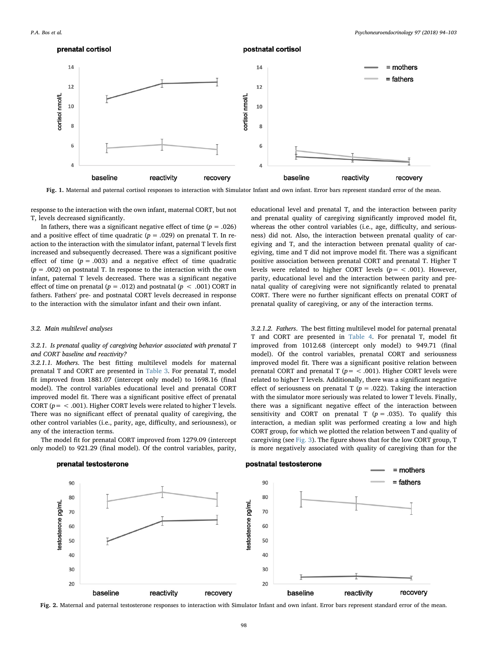prenatal cortisol

<span id="page-4-0"></span>

postnatal cortisol

Fig. 1. Maternal and paternal cortisol responses to interaction with Simulator Infant and own infant. Error bars represent standard error of the mean.

response to the interaction with the own infant, maternal CORT, but not T, levels decreased significantly.

In fathers, there was a significant negative effect of time  $(p = .026)$ and a positive effect of time quadratic ( $p = .029$ ) on prenatal T. In reaction to the interaction with the simulator infant, paternal T levels first increased and subsequently decreased. There was a significant positive effect of time  $(p = .003)$  and a negative effect of time quadratic  $(p = .002)$  on postnatal T. In response to the interaction with the own infant, paternal T levels decreased. There was a significant negative effect of time on prenatal ( $p = .012$ ) and postnatal ( $p < .001$ ) CORT in fathers. Fathers' pre- and postnatal CORT levels decreased in response to the interaction with the simulator infant and their own infant.

#### 3.2. Main multilevel analyses

# 3.2.1. Is prenatal quality of caregiving behavior associated with prenatal T and CORT baseline and reactivity?

3.2.1.1. Mothers. The best fitting multilevel models for maternal prenatal T and CORT are presented in [Table 3.](#page-5-0) For prenatal T, model fit improved from 1881.07 (intercept only model) to 1698.16 (final model). The control variables educational level and prenatal CORT improved model fit. There was a significant positive effect of prenatal CORT ( $p = < .001$ ). Higher CORT levels were related to higher T levels. There was no significant effect of prenatal quality of caregiving, the other control variables (i.e., parity, age, difficulty, and seriousness), or any of the interaction terms.

The model fit for prenatal CORT improved from 1279.09 (intercept only model) to 921.29 (final model). Of the control variables, parity,

## prenatal testosterone

educational level and prenatal T, and the interaction between parity and prenatal quality of caregiving significantly improved model fit, whereas the other control variables (i.e., age, difficulty, and seriousness) did not. Also, the interaction between prenatal quality of caregiving and T, and the interaction between prenatal quality of caregiving, time and T did not improve model fit. There was a significant positive association between prenatal CORT and prenatal T. Higher T levels were related to higher CORT levels ( $p = < .001$ ). However, parity, educational level and the interaction between parity and prenatal quality of caregiving were not significantly related to prenatal CORT. There were no further significant effects on prenatal CORT of prenatal quality of caregiving, or any of the interaction terms.

3.2.1.2. Fathers. The best fitting multilevel model for paternal prenatal T and CORT are presented in [Table 4](#page-6-0). For prenatal T, model fit improved from 1012.68 (intercept only model) to 949.71 (final model). Of the control variables, prenatal CORT and seriousness improved model fit. There was a significant positive relation between prenatal CORT and prenatal T ( $p = < .001$ ). Higher CORT levels were related to higher T levels. Additionally, there was a significant negative effect of seriousness on prenatal T ( $p = .022$ ). Taking the interaction with the simulator more seriously was related to lower T levels. Finally, there was a significant negative effect of the interaction between sensitivity and CORT on prenatal T ( $p = .035$ ). To qualify this interaction, a median split was performed creating a low and high CORT group, for which we plotted the relation between T and quality of caregiving (see [Fig. 3\)](#page-6-1). The figure shows that for the low CORT group, T is more negatively associated with quality of caregiving than for the

# postnatal testosterone



Fig. 2. Maternal and paternal testosterone responses to interaction with Simulator Infant and own infant. Error bars represent standard error of the mean.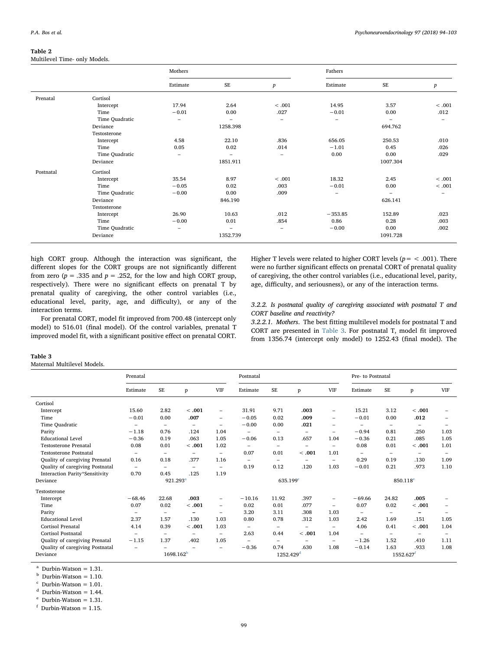# <span id="page-5-1"></span>Table 2

Multilevel Time- only Models.

|           |                | Mothers                  |                          |                          | Fathers                  |                          |                          |
|-----------|----------------|--------------------------|--------------------------|--------------------------|--------------------------|--------------------------|--------------------------|
|           |                | Estimate                 | <b>SE</b>                | $\boldsymbol{p}$         | Estimate                 | <b>SE</b>                | $\boldsymbol{p}$         |
| Prenatal  | Cortisol       |                          |                          |                          |                          |                          |                          |
|           | Intercept      | 17.94                    | 2.64                     | < .001                   | 14.95                    | 3.57                     | < .001                   |
|           | Time           | $-0.01$                  | 0.00                     | .027                     | $-0.01$                  | 0.00                     | .012                     |
|           | Time Quadratic | $\overline{\phantom{0}}$ | $=$                      | $\overline{\phantom{0}}$ | $\overline{\phantom{a}}$ | $\equiv$                 | $\overline{\phantom{0}}$ |
|           | Deviance       |                          | 1258.398                 |                          |                          | 694.762                  |                          |
|           | Testosterone   |                          |                          |                          |                          |                          |                          |
|           | Intercept      | 4.58                     | 22.10                    | .836                     | 656.05                   | 250.53                   | .010                     |
|           | Time           | 0.05                     | 0.02                     | .014                     | $-1.01$                  | 0.45                     | .026                     |
|           | Time Quadratic | $\overline{\phantom{0}}$ | $\overline{\phantom{0}}$ | -                        | 0.00                     | 0.00                     | .029                     |
|           | Deviance       |                          | 1851.911                 |                          |                          | 1007.304                 |                          |
| Postnatal | Cortisol       |                          |                          |                          |                          |                          |                          |
|           | Intercept      | 35.54                    | 8.97                     | < .001                   | 18.32                    | 2.45                     | < .001                   |
|           | Time           | $-0.05$                  | 0.02                     | .003                     | $-0.01$                  | 0.00                     | < .001                   |
|           | Time Quadratic | $-0.00$                  | 0.00                     | .009                     | $\overline{\phantom{m}}$ | $\overline{\phantom{a}}$ | $\overline{\phantom{0}}$ |
|           | Deviance       |                          | 846.190                  |                          |                          | 626.141                  |                          |
|           | Testosterone   |                          |                          |                          |                          |                          |                          |
|           | Intercept      | 26.90                    | 10.63                    | .012                     | $-353.85$                | 152.89                   | .023                     |
|           | Time           | $-0.00$                  | 0.01                     | .854                     | 0.86                     | 0.28                     | .003                     |
|           | Time Quadratic | -                        | $\overline{\phantom{0}}$ | -                        | $-0.00$                  | 0.00                     | .002                     |
|           | Deviance       |                          | 1352.739                 |                          |                          | 1091.728                 |                          |

high CORT group. Although the interaction was significant, the different slopes for the CORT groups are not significantly different from zero ( $p = .335$  and  $p = .252$ , for the low and high CORT group, respectively). There were no significant effects on prenatal T by prenatal quality of caregiving, the other control variables (i.e., educational level, parity, age, and difficulty), or any of the interaction terms.

For prenatal CORT, model fit improved from 700.48 (intercept only model) to 516.01 (final model). Of the control variables, prenatal T improved model fit, with a significant positive effect on prenatal CORT. Higher T levels were related to higher CORT levels ( $p =$  < .001). There were no further significant effects on prenatal CORT of prenatal quality of caregiving, the other control variables (i.e., educational level, parity, age, difficulty, and seriousness), or any of the interaction terms.

# 3.2.2. Is postnatal quality of caregiving associated with postnatal T and CORT baseline and reactivity?

3.2.2.1. Mothers. The best fitting multilevel models for postnatal T and CORT are presented in [Table 3.](#page-5-0) For postnatal T, model fit improved from 1356.74 (intercept only model) to 1252.43 (final model). The

#### <span id="page-5-0"></span>Table 3

Maternal Multilevel Models.

|                                 | Prenatal                 |                          |                          | Postnatal                |                          |                          |                          | Pre- to Postnatal        |                          |                          |                          |                          |
|---------------------------------|--------------------------|--------------------------|--------------------------|--------------------------|--------------------------|--------------------------|--------------------------|--------------------------|--------------------------|--------------------------|--------------------------|--------------------------|
|                                 | Estimate                 | SE                       | p                        | <b>VIF</b>               | Estimate                 | SE                       | p                        | <b>VIF</b>               | Estimate                 | SE                       | p                        | <b>VIF</b>               |
| Cortisol                        |                          |                          |                          |                          |                          |                          |                          |                          |                          |                          |                          |                          |
| Intercept                       | 15.60                    | 2.82                     | < .001                   | $\overline{\phantom{0}}$ | 31.91                    | 9.71                     | .003                     | $\overline{\phantom{m}}$ | 15.21                    | 3.12                     | < 0.001                  |                          |
| Time                            | $-0.01$                  | 0.00                     | .007                     | $\overline{\phantom{0}}$ | $-0.05$                  | 0.02                     | .009                     | $\overline{\phantom{0}}$ | $-0.01$                  | 0.00                     | .012                     |                          |
| Time Quadratic                  | $\overline{\phantom{0}}$ | $\overline{\phantom{a}}$ | $\overline{\phantom{m}}$ | $\overline{\phantom{a}}$ | $-0.00$                  | 0.00                     | .021                     | $\overline{\phantom{0}}$ | $\overline{\phantom{m}}$ | $\overline{\phantom{0}}$ | $\overline{\phantom{0}}$ | $\overline{\phantom{0}}$ |
| Parity                          | $-1.18$                  | 0.76                     | .124                     | 1.04                     | $\overline{\phantom{a}}$ | $\overline{\phantom{0}}$ | $\overline{\phantom{0}}$ | $\overline{\phantom{0}}$ | $-0.94$                  | 0.81                     | .250                     | 1.03                     |
| <b>Educational Level</b>        | $-0.36$                  | 0.19                     | .063                     | 1.05                     | $-0.06$                  | 0.13                     | .657                     | 1.04                     | $-0.36$                  | 0.21                     | .085                     | 1.05                     |
| <b>Testosterone Prenatal</b>    | 0.08                     | 0.01                     | < .001                   | 1.02                     | $\overline{\phantom{0}}$ | $\overline{\phantom{0}}$ | $\overline{\phantom{0}}$ | $\overline{\phantom{a}}$ | 0.08                     | 0.01                     | < .001                   | 1.01                     |
| <b>Testosterone Postnatal</b>   | $\overline{\phantom{0}}$ | $\overline{\phantom{0}}$ | -                        | $\overline{\phantom{a}}$ | 0.07                     | 0.01                     | < 0.001                  | 1.01                     | $\overline{\phantom{m}}$ | $\overline{\phantom{0}}$ | $\overline{\phantom{0}}$ |                          |
| Quality of caregiving Prenatal  | 0.16                     | 0.18                     | .377                     | 1.16                     | $\overline{\phantom{0}}$ | $\overline{\phantom{a}}$ | $\overline{\phantom{0}}$ | $\overline{\phantom{a}}$ | 0.29                     | 0.19                     | .130                     | 1.09                     |
| Quality of caregiving Postnatal | $\overline{\phantom{0}}$ | $\overline{\phantom{0}}$ | $\equiv$                 | $\overline{\phantom{a}}$ | 0.19                     | 0.12                     | .120                     | 1.03                     | $-0.01$                  | 0.21                     | .973                     | 1.10                     |
| Interaction Parity*Sensitivity  | 0.70                     | 0.45                     | .125                     | 1.19                     |                          |                          |                          |                          |                          |                          |                          |                          |
| Deviance                        | 921.293 <sup>a</sup>     |                          |                          | $635.199^{\circ}$        |                          |                          |                          | 850.118 <sup>e</sup>     |                          |                          |                          |                          |
| Testosterone                    |                          |                          |                          |                          |                          |                          |                          |                          |                          |                          |                          |                          |
| Intercept                       | $-68.46$                 | 22.68                    | .003                     | -                        | $-10.16$                 | 11.92                    | .397                     | $\overline{\phantom{m}}$ | $-69.66$                 | 24.82                    | .005                     |                          |
| Time                            | 0.07                     | 0.02                     | < .001                   | $\overline{\phantom{0}}$ | 0.02                     | 0.01                     | .077                     | $\overline{\phantom{0}}$ | 0.07                     | 0.02                     | < 0.001                  |                          |
| Parity                          | $\qquad \qquad -$        | $\overline{\phantom{m}}$ | -                        | $\overline{\phantom{0}}$ | 3.20                     | 3.11                     | .308                     | 1.03                     | $\overline{\phantom{m}}$ | $\overline{\phantom{0}}$ | -                        |                          |
| <b>Educational Level</b>        | 2.37                     | 1.57                     | .130                     | 1.03                     | 0.80                     | 0.78                     | .312                     | 1.03                     | 2.42                     | 1.69                     | .151                     | 1.05                     |
| Cortisol Prenatal               | 4.14                     | 0.39                     | < .001                   | 1.03                     | $\qquad \qquad -$        | -                        | -                        | $\overline{\phantom{m}}$ | 4.06                     | 0.41                     | < 0.001                  | 1.04                     |
| Cortisol Postnatal              | $\overline{\phantom{m}}$ | $\overline{\phantom{0}}$ | -                        | $\overline{\phantom{m}}$ | 2.63                     | 0.44                     | < 0.001                  | 1.04                     | $\overline{\phantom{m}}$ | $\overline{\phantom{0}}$ | -                        |                          |
| Quality of caregiving Prenatal  | $-1.15$                  | 1.37                     | .402                     | 1.05                     | -                        | $\qquad \qquad$          |                          | $\overline{\phantom{m}}$ | $-1.26$                  | 1.52                     | .410                     | 1.11                     |
| Quality of caregiving Postnatal | $\qquad \qquad$          |                          |                          | $\overline{\phantom{0}}$ | $-0.36$                  | 0.74                     | .630                     | 1.08                     | $-0.14$                  | 1.63                     | .933                     | 1.08                     |
| Deviance                        | 1698.162 <sup>b</sup>    |                          |                          | 1252.429 <sup>d</sup>    |                          |                          |                          | 1552.627                 |                          |                          |                          |                          |

<span id="page-5-2"></span> $a$  Durbin-Watson = 1.31.

<span id="page-5-5"></span> $<sup>b</sup>$  Durbin-Watson = 1.10.</sup>

<span id="page-5-3"></span> $\text{c}$  Durbin-Watson = 1.01.

<span id="page-5-6"></span> $d$  Durbin-Watson = 1.44.

<span id="page-5-4"></span> $^{\circ}$  Durbin-Watson = 1.31.

<span id="page-5-7"></span> $f$  Durbin-Watson = 1.15.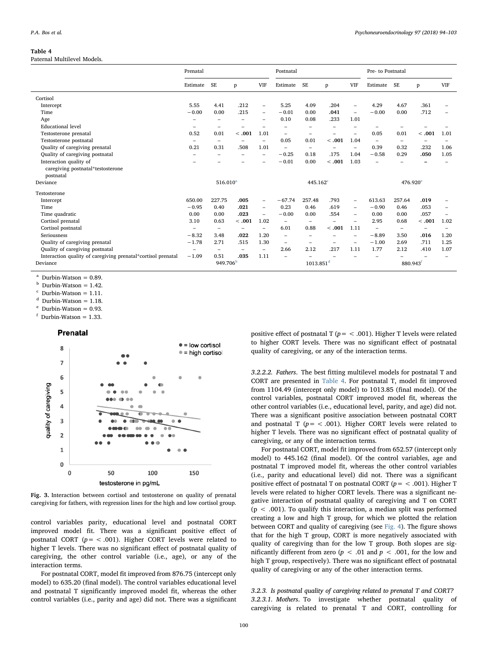#### <span id="page-6-0"></span>Table 4

Paternal Multilevel Models.

|                                                              | Prenatal                 |                          |                          |                          | Postnatal                |                          |         |                          | Pre- to Postnatal        |                          |                          |            |
|--------------------------------------------------------------|--------------------------|--------------------------|--------------------------|--------------------------|--------------------------|--------------------------|---------|--------------------------|--------------------------|--------------------------|--------------------------|------------|
|                                                              | Estimate                 | <b>SE</b>                | p                        | <b>VIF</b>               | Estimate                 | <b>SE</b>                | p       | <b>VIF</b>               | Estimate                 | <b>SE</b>                | p                        | <b>VIF</b> |
| Cortisol                                                     |                          |                          |                          |                          |                          |                          |         |                          |                          |                          |                          |            |
| Intercept                                                    | 5.55                     | 4.41                     | .212                     | $\overline{\phantom{0}}$ | 5.25                     | 4.09                     | .204    |                          | 4.29                     | 4.67                     | .361                     |            |
| Time                                                         | $-0.00$                  | 0.00                     | .215                     | $\overline{\phantom{0}}$ | $-0.01$                  | 0.00                     | .041    | ۳                        | $-0.00$                  | 0.00                     | .712                     |            |
| Age                                                          |                          | $\overline{\phantom{0}}$ |                          |                          | 0.10                     | 0.08                     | .233    | 1.01                     |                          |                          |                          |            |
| <b>Educational level</b>                                     |                          | $\overline{\phantom{0}}$ |                          |                          |                          | -                        |         |                          |                          |                          |                          |            |
| Testosterone prenatal                                        | 0.52                     | 0.01                     | <.001                    | 1.01                     | $\overline{\phantom{0}}$ |                          |         |                          | 0.05                     | 0.01                     | < 0.001                  | 1.01       |
| Testosterone postnatal                                       | ۰                        | -                        |                          | $\overline{\phantom{0}}$ | 0.05                     | 0.01                     | < 0.001 | 1.04                     | $\overline{\phantom{m}}$ | $\overline{\phantom{0}}$ | -                        |            |
| Quality of caregiving prenatal                               | 0.21                     | 0.31                     | .508                     | 1.01                     | $\overline{\phantom{m}}$ | $\overline{\phantom{m}}$ |         | ۰                        | 0.39                     | 0.32                     | .232                     | 1.06       |
| Quality of caregiving postnatal                              |                          |                          |                          | $\overline{\phantom{0}}$ | $-0.25$                  | 0.18                     | .175    | 1.04                     | $-0.58$                  | 0.29                     | .050                     | 1.05       |
| Interaction quality of                                       |                          |                          |                          |                          | $-0.01$                  | 0.00                     | < 0.001 | 1.03                     |                          |                          |                          |            |
| caregiving postnatal*testosterone                            |                          |                          |                          |                          |                          |                          |         |                          |                          |                          |                          |            |
| postnatal                                                    |                          |                          |                          |                          |                          |                          |         |                          |                          |                          |                          |            |
| Deviance                                                     |                          | 516.010 <sup>a</sup>     |                          |                          | $445.162^{\circ}$        |                          |         |                          | $476.920^{\circ}$        |                          |                          |            |
| Testosterone                                                 |                          |                          |                          |                          |                          |                          |         |                          |                          |                          |                          |            |
| Intercept                                                    | 650.00                   | 227.75                   | .005                     | $\overline{\phantom{0}}$ | $-67.74$                 | 257.48                   | .793    | $\overline{\phantom{0}}$ | 613.63                   | 257.64                   | .019                     |            |
| Time                                                         | $-0.95$                  | 0.40                     | .021                     | $\overline{\phantom{0}}$ | 0.23                     | 0.46                     | .619    | $\overline{\phantom{0}}$ | $-0.90$                  | 0.46                     | .053                     |            |
| Time quadratic                                               | 0.00                     | 0.00                     | .023                     | $\overline{\phantom{0}}$ | $-0.00$                  | 0.00                     | .554    | ۰                        | 0.00                     | 0.00                     | .057                     |            |
| Cortisol prenatal                                            | 3.10                     | 0.63                     | <.001                    | 1.02                     | $\overline{\phantom{0}}$ | $\overline{\phantom{a}}$ |         |                          | 2.95                     | 0.68                     | < 0.001                  | 1.02       |
| Cortisol postnatal                                           |                          | $\overline{\phantom{0}}$ |                          | $\overline{\phantom{0}}$ | 6.01                     | 0.88                     | < .001  | 1.11                     | $\equiv$                 | $\overline{\phantom{0}}$ | $\overline{\phantom{0}}$ |            |
| <b>Seriousness</b>                                           | $-8.32$                  | 3.48                     | .022                     | 1.20                     | $\equiv$                 | ۰                        |         | ۰                        | $-8.89$                  | 3.50                     | .016                     | 1.20       |
| Quality of caregiving prenatal                               | $-1.78$                  | 2.71                     | .515                     | 1.30                     | $\overline{\phantom{0}}$ | $\overline{\phantom{0}}$ |         | ۰                        | $-1.00$                  | 2.69                     | .711                     | 1.25       |
| Quality of caregiving postnatal                              | $\overline{\phantom{0}}$ | -                        | $\overline{\phantom{a}}$ | $\overline{\phantom{0}}$ | 2.66                     | 2.12                     | .217    | 1.11                     | 1.77                     | 2.12                     | .410                     | 1.07       |
| Interaction quality of caregiving prenatal*cortisol prenatal | $-1.09$                  | 0.51                     | .035                     | 1.11                     | $\equiv$                 |                          |         |                          |                          |                          |                          |            |
| Deviance                                                     | 949.706 <sup>b</sup>     |                          | $1013.851$ <sup>d</sup>  |                          |                          | 880.943 <sup>t</sup>     |         |                          |                          |                          |                          |            |

<span id="page-6-2"></span>Durbin-Watson  $= 0.89$ .

<span id="page-6-5"></span> $b$  Durbin-Watson = 1.42.

<span id="page-6-3"></span> $\text{c}$  Durbin-Watson = 1.11.

<span id="page-6-6"></span> $d$  Durbin-Watson = 1.18.

<span id="page-6-4"></span> $^{\rm e}$  Durbin-Watson = 0.93.

<span id="page-6-7"></span>Durbin-Watson  $= 1.33$ .

# Prenatal

<span id="page-6-1"></span>

Fig. 3. Interaction between cortisol and testosterone on quality of prenatal caregiving for fathers, with regression lines for the high and low cortisol group.

control variables parity, educational level and postnatal CORT improved model fit. There was a significant positive effect of postnatal CORT ( $p =$  < .001). Higher CORT levels were related to higher T levels. There was no significant effect of postnatal quality of caregiving, the other control variable (i.e., age), or any of the interaction terms.

For postnatal CORT, model fit improved from 876.75 (intercept only model) to 635.20 (final model). The control variables educational level and postnatal T significantly improved model fit, whereas the other control variables (i.e., parity and age) did not. There was a significant positive effect of postnatal T ( $p = < .001$ ). Higher T levels were related to higher CORT levels. There was no significant effect of postnatal quality of caregiving, or any of the interaction terms.

3.2.2.2. Fathers. The best fitting multilevel models for postnatal T and CORT are presented in [Table 4.](#page-6-0) For postnatal T, model fit improved from 1104.49 (intercept only model) to 1013.85 (final model). Of the control variables, postnatal CORT improved model fit, whereas the other control variables (i.e., educational level, parity, and age) did not. There was a significant positive association between postnatal CORT and postnatal T ( $p = < .001$ ). Higher CORT levels were related to higher T levels. There was no significant effect of postnatal quality of caregiving, or any of the interaction terms.

For postnatal CORT, model fit improved from 652.57 (intercept only model) to 445.162 (final model). Of the control variables, age and postnatal T improved model fit, whereas the other control variables (i.e., parity and educational level) did not. There was a significant positive effect of postnatal T on postnatal CORT ( $p =$  < .001). Higher T levels were related to higher CORT levels. There was a significant negative interaction of postnatal quality of caregiving and T on CORT  $(p < .001)$ . To qualify this interaction, a median split was performed creating a low and high T group, for which we plotted the relation between CORT and quality of caregiving (see [Fig. 4\)](#page-7-0). The figure shows that for the high T group, CORT is more negatively associated with quality of caregiving than for the low T group. Both slopes are significantly different from zero ( $p < .01$  and  $p < .001$ , for the low and high T group, respectively). There was no significant effect of postnatal quality of caregiving or any of the other interaction terms.

3.2.3. Is postnatal quality of caregiving related to prenatal T and CORT? 3.2.3.1. Mothers. To investigate whether postnatal quality of caregiving is related to prenatal T and CORT, controlling for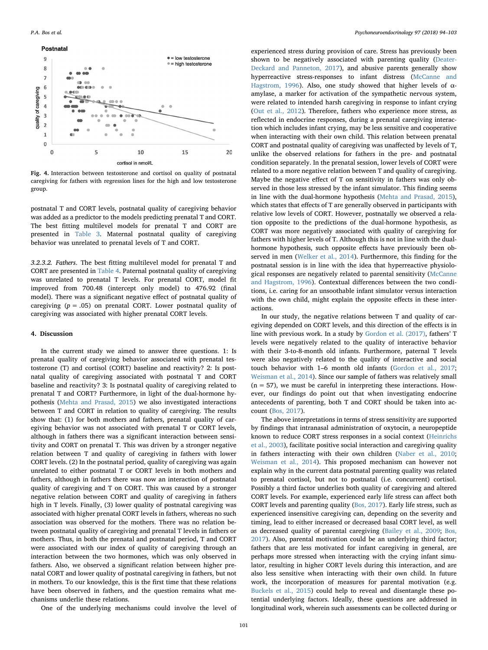<span id="page-7-0"></span>

Fig. 4. Interaction between testosterone and cortisol on quality of postnatal caregiving for fathers with regression lines for the high and low testosterone group.

postnatal T and CORT levels, postnatal quality of caregiving behavior was added as a predictor to the models predicting prenatal T and CORT. The best fitting multilevel models for prenatal T and CORT are presented in [Table 3.](#page-5-0) Maternal postnatal quality of caregiving behavior was unrelated to prenatal levels of T and CORT.

3.2.3.2. Fathers. The best fitting multilevel model for prenatal T and CORT are presented in [Table 4](#page-6-0). Paternal postnatal quality of caregiving was unrelated to prenatal T levels. For prenatal CORT, model fit improved from 700.48 (intercept only model) to 476.92 (final model). There was a significant negative effect of postnatal quality of caregiving  $(p = .05)$  on prenatal CORT. Lower postnatal quality of caregiving was associated with higher prenatal CORT levels.

## 4. Discussion

In the current study we aimed to answer three questions. 1: Is prenatal quality of caregiving behavior associated with prenatal testosterone (T) and cortisol (CORT) baseline and reactivity? 2: Is postnatal quality of caregiving associated with postnatal T and CORT baseline and reactivity? 3: Is postnatal quality of caregiving related to prenatal T and CORT? Furthermore, in light of the dual-hormone hypothesis ([Mehta and Prasad, 2015\)](#page-9-31) we also investigated interactions between T and CORT in relation to quality of caregiving. The results show that: (1) for both mothers and fathers, prenatal quality of caregiving behavior was not associated with prenatal T or CORT levels, although in fathers there was a significant interaction between sensitivity and CORT on prenatal T. This was driven by a stronger negative relation between T and quality of caregiving in fathers with lower CORT levels. (2) In the postnatal period, quality of caregiving was again unrelated to either postnatal T or CORT levels in both mothers and fathers, although in fathers there was now an interaction of postnatal quality of caregiving and T on CORT. This was caused by a stronger negative relation between CORT and quality of caregiving in fathers high in T levels. Finally, (3) lower quality of postnatal caregiving was associated with higher prenatal CORT levels in fathers, whereas no such association was observed for the mothers. There was no relation between postnatal quality of caregiving and prenatal T levels in fathers or mothers. Thus, in both the prenatal and postnatal period, T and CORT were associated with our index of quality of caregiving through an interaction between the two hormones, which was only observed in fathers. Also, we observed a significant relation between higher prenatal CORT and lower quality of postnatal caregiving in fathers, but not in mothers. To our knowledge, this is the first time that these relations have been observed in fathers, and the question remains what mechanisms underlie these relations.

One of the underlying mechanisms could involve the level of

experienced stress during provision of care. Stress has previously been shown to be negatively associated with parenting quality ([Deater-](#page-9-38)[Deckard and Panneton, 2017\)](#page-9-38), and abusive parents generally show hyperreactive stress-responses to infant distress ([McCanne and](#page-9-25) [Hagstrom, 1996](#page-9-25)). Also, one study showed that higher levels of αamylase, a marker for activation of the sympathetic nervous system, were related to intended harsh caregiving in response to infant crying ([Out et al., 2012](#page-9-26)). Therefore, fathers who experience more stress, as reflected in endocrine responses, during a prenatal caregiving interaction which includes infant crying, may be less sensitive and cooperative when interacting with their own child. This relation between prenatal CORT and postnatal quality of caregiving was unaffected by levels of T, unlike the observed relations for fathers in the pre- and postnatal condition separately. In the prenatal session, lower levels of CORT were related to a more negative relation between T and quality of caregiving. Maybe the negative effect of T on sensitivity in fathers was only observed in those less stressed by the infant simulator. This finding seems in line with the dual-hormone hypothesis ([Mehta and Prasad, 2015](#page-9-31)), which states that effects of T are generally observed in participants with relative low levels of CORT. However, postnatally we observed a relation opposite to the predictions of the dual-hormone hypothesis, as CORT was more negatively associated with quality of caregiving for fathers with higher levels of T. Although this is not in line with the dualhormone hypothesis, such opposite effects have previously been observed in men [\(Welker et al., 2014](#page-9-39)). Furthermore, this finding for the postnatal session is in line with the idea that hyperreactive physiological responses are negatively related to parental sensitivity ([McCanne](#page-9-25) [and Hagstrom, 1996\)](#page-9-25). Contextual differences between the two conditions, i.e. caring for an unsoothable infant simulator versus interaction with the own child, might explain the opposite effects in these interactions.

In our study, the negative relations between T and quality of caregiving depended on CORT levels, and this direction of the effects is in line with previous work. In a study by [Gordon et al. \(2017\)](#page-9-19), fathers' T levels were negatively related to the quality of interactive behavior with their 3-to-8-month old infants. Furthermore, paternal T levels were also negatively related to the quality of interactive and social touch behavior with 1–6 month old infants ([Gordon et al., 2017](#page-9-19); [Weisman et al., 2014](#page-9-20)). Since our sample of fathers was relatively small  $(n = 57)$ , we must be careful in interpreting these interactions. However, our findings do point out that when investigating endocrine antecedents of parenting, both T and CORT should be taken into account [\(Bos, 2017](#page-8-0)).

The above interpretations in terms of stress sensitivity are supported by findings that intranasal administration of oxytocin, a neuropeptide known to reduce CORT stress responses in a social context ([Heinrichs](#page-9-40) [et al., 2003](#page-9-40)), facilitate positive social interaction and caregiving quality in fathers interacting with their own children ([Naber et al., 2010](#page-9-41); [Weisman et al., 2014\)](#page-9-20). This proposed mechanism can however not explain why in the current data postnatal parenting quality was related to prenatal cortisol, but not to postnatal (i.e. concurrent) cortisol. Possibly a third factor underlies both quality of caregiving and altered CORT levels. For example, experienced early life stress can affect both CORT levels and parenting quality ([Bos, 2017](#page-8-0)). Early life stress, such as experienced insensitive caregiving can, depending on the severity and timing, lead to either increased or decreased basal CORT level, as well as decreased quality of parental caregiving ([Bailey et al., 2009](#page-8-4); [Bos,](#page-8-0) [2017\)](#page-8-0). Also, parental motivation could be an underlying third factor; fathers that are less motivated for infant caregiving in general, are perhaps more stressed when interacting with the crying infant simulator, resulting in higher CORT levels during this interaction, and are also less sensitive when interacting with their own child. In future work, the incorporation of measures for parental motivation (e.g. [Buckels et al., 2015\)](#page-8-5) could help to reveal and disentangle these potential underlying factors. Ideally, these questions are addressed in longitudinal work, wherein such assessments can be collected during or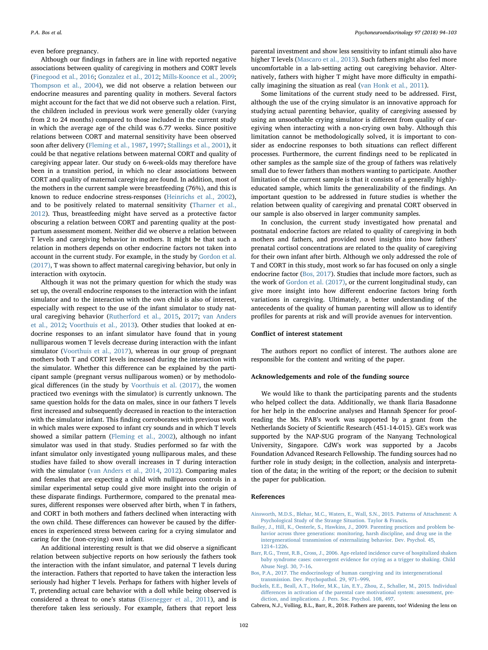even before pregnancy.

Although our findings in fathers are in line with reported negative associations between quality of caregiving in mothers and CORT levels ([Finegood et al., 2016](#page-9-7); [Gonzalez et al., 2012](#page-9-8); [Mills-Koonce et al., 2009](#page-9-12); [Thompson et al., 2004\)](#page-9-42), we did not observe a relation between our endocrine measures and parenting quality in mothers. Several factors might account for the fact that we did not observe such a relation. First, the children included in previous work were generally older (varying from 2 to 24 months) compared to those included in the current study in which the average age of the child was 6.77 weeks. Since positive relations between CORT and maternal sensitivity have been observed soon after delivery [\(Fleming et al., 1987](#page-9-9), [1997](#page-9-10); [Stallings et al., 2001](#page-9-11)), it could be that negative relations between maternal CORT and quality of caregiving appear later. Our study on 6-week-olds may therefore have been in a transition period, in which no clear associations between CORT and quality of maternal caregiving are found. In addition, most of the mothers in the current sample were breastfeeding (76%), and this is known to reduce endocrine stress-responses ([Heinrichs et al., 2002](#page-9-43)), and to be positively related to maternal sensitivity ([Tharner et al.,](#page-9-44) [2012\)](#page-9-44). Thus, breastfeeding might have served as a protective factor obscuring a relation between CORT and parenting quality at the postpartum assessment moment. Neither did we observe a relation between T levels and caregiving behavior in mothers. It might be that such a relation in mothers depends on other endocrine factors not taken into account in the current study. For example, in the study by [Gordon et al.](#page-9-19) [\(2017\),](#page-9-19) T was shown to affect maternal caregiving behavior, but only in interaction with oxytocin.

Although it was not the primary question for which the study was set up, the overall endocrine responses to the interaction with the infant simulator and to the interaction with the own child is also of interest, especially with respect to the use of the infant simulator to study natural caregiving behavior [\(Rutherford et al., 2015](#page-9-27), [2017;](#page-9-28) [van Anders](#page-9-29) [et al., 2012](#page-9-29); [Voorthuis et al., 2013](#page-9-30)). Other studies that looked at endocrine responses to an infant simulator have found that in young nulliparous women T levels decrease during interaction with the infant simulator [\(Voorthuis et al., 2017](#page-9-45)), whereas in our group of pregnant mothers both T and CORT levels increased during the interaction with the simulator. Whether this difference can be explained by the participant sample (pregnant versus nulliparous women) or by methodological differences (in the study by [Voorthuis et al. \(2017\)](#page-9-45), the women practiced two evenings with the simulator) is currently unknown. The same question holds for the data on males, since in our fathers T levels first increased and subsequently decreased in reaction to the interaction with the simulator infant. This finding corroborates with previous work in which males were exposed to infant cry sounds and in which T levels showed a similar pattern [\(Fleming et al., 2002](#page-9-18)), although no infant simulator was used in that study. Studies performed so far with the infant simulator only investigated young nulliparous males, and these studies have failed to show overall increases in T during interaction with the simulator [\(van Anders et al., 2014](#page-9-46), [2012](#page-9-29)). Comparing males and females that are expecting a child with nulliparous controls in a similar experimental setup could give more insight into the origin of these disparate findings. Furthermore, compared to the prenatal measures, different responses were observed after birth, when T in fathers, and CORT in both mothers and fathers declined when interacting with the own child. These differences can however be caused by the differences in experienced stress between caring for a crying simulator and caring for the (non-crying) own infant.

An additional interesting result is that we did observe a significant relation between subjective reports on how seriously the fathers took the interaction with the infant simulator, and paternal T levels during the interaction. Fathers that reported to have taken the interaction less seriously had higher T levels. Perhaps for fathers with higher levels of T, pretending actual care behavior with a doll while being observed is considered a threat to one's status [\(Eisenegger et al., 2011](#page-9-47)), and is therefore taken less seriously. For example, fathers that report less

parental investment and show less sensitivity to infant stimuli also have higher T levels [\(Mascaro et al., 2013\)](#page-9-16). Such fathers might also feel more uncomfortable in a lab-setting acting out caregiving behavior. Alternatively, fathers with higher T might have more difficulty in empathically imagining the situation as real [\(van Honk et al., 2011](#page-9-48)).

Some limitations of the current study need to be addressed. First, although the use of the crying simulator is an innovative approach for studying actual parenting behavior, quality of caregiving assessed by using an unsoothable crying simulator is different from quality of caregiving when interacting with a non-crying own baby. Although this limitation cannot be methodologically solved, it is important to consider as endocrine responses to both situations can reflect different processes. Furthermore, the current findings need to be replicated in other samples as the sample size of the group of fathers was relatively small due to fewer fathers than mothers wanting to participate. Another limitation of the current sample is that it consists of a generally highlyeducated sample, which limits the generalizability of the findings. An important question to be addressed in future studies is whether the relation between quality of caregiving and prenatal CORT observed in our sample is also observed in larger community samples.

In conclusion, the current study investigated how prenatal and postnatal endocrine factors are related to quality of caregiving in both mothers and fathers, and provided novel insights into how fathers' prenatal cortisol concentrations are related to the quality of caregiving for their own infant after birth. Although we only addressed the role of T and CORT in this study, most work so far has focused on only a single endocrine factor [\(Bos, 2017](#page-8-0)). Studies that include more factors, such as the work of [Gordon et al. \(2017\)](#page-9-19), or the current longitudinal study, can give more insight into how different endocrine factors bring forth variations in caregiving. Ultimately, a better understanding of the antecedents of the quality of human parenting will allow us to identify profiles for parents at risk and will provide avenues for intervention.

# Conflict of interest statement

The authors report no conflict of interest. The authors alone are responsible for the content and writing of the paper.

# Acknowledgements and role of the funding source

We would like to thank the participating parents and the students who helped collect the data. Additionally, we thank Ilaria Basadonne for her help in the endocrine analyses and Hannah Spencer for proofreading the Ms. PAB's work was supported by a grant from the Netherlands Society of Scientific Research (451-14-015). GE's work was supported by the NAP-SUG program of the Nanyang Technological University, Singapore. CdW's work was supported by a Jacobs Foundation Advanced Research Fellowship. The funding sources had no further role in study design; in the collection, analysis and interpretation of the data; in the writing of the report; or the decision to submit the paper for publication.

#### References

- <span id="page-8-3"></span>[Ainsworth, M.D.S., Blehar, M.C., Waters, E., Wall, S.N., 2015. Patterns of Attachment: A](http://refhub.elsevier.com/S0306-4530(18)30024-6/sbref0005) [Psychological Study of the Strange Situation. Taylor & Francis](http://refhub.elsevier.com/S0306-4530(18)30024-6/sbref0005).
- <span id="page-8-4"></span>[Bailey, J., Hill, K., Oesterle, S., Hawkins, J., 2009. Parenting practices and problem be](http://refhub.elsevier.com/S0306-4530(18)30024-6/sbref0010)[havior across three generations: monitoring, harsh discipline, and drug use in the](http://refhub.elsevier.com/S0306-4530(18)30024-6/sbref0010) [intergenerational transmission of externalizing behavior. Dev. Psychol. 45,](http://refhub.elsevier.com/S0306-4530(18)30024-6/sbref0010) 1214–[1226](http://refhub.elsevier.com/S0306-4530(18)30024-6/sbref0010).
- <span id="page-8-2"></span>[Barr, R.G., Trent, R.B., Cross, J., 2006. Age-related incidence curve of hospitalized shaken](http://refhub.elsevier.com/S0306-4530(18)30024-6/sbref0015) [baby syndrome cases: convergent evidence for crying as a trigger to shaking. Child](http://refhub.elsevier.com/S0306-4530(18)30024-6/sbref0015) [Abuse Negl. 30, 7](http://refhub.elsevier.com/S0306-4530(18)30024-6/sbref0015)–16.
- <span id="page-8-0"></span>[Bos, P.A., 2017. The endocrinology of human caregiving and its intergenerational](http://refhub.elsevier.com/S0306-4530(18)30024-6/sbref0020) [transmission. Dev. Psychopathol. 29, 971](http://refhub.elsevier.com/S0306-4530(18)30024-6/sbref0020)–999.
- <span id="page-8-5"></span>[Buckels, E.E., Beall, A.T., Hofer, M.K., Lin, E.Y., Zhou, Z., Schaller, M., 2015. Individual](http://refhub.elsevier.com/S0306-4530(18)30024-6/sbref0025) diff[erences in activation of the parental care motivational system: assessment, pre](http://refhub.elsevier.com/S0306-4530(18)30024-6/sbref0025)[diction, and implications. J. Pers. Soc. Psychol. 108, 497.](http://refhub.elsevier.com/S0306-4530(18)30024-6/sbref0025)
- <span id="page-8-1"></span>Cabrera, N.J., Volling, B.L., Barr, R., 2018. Fathers are parents, too! Widening the lens on